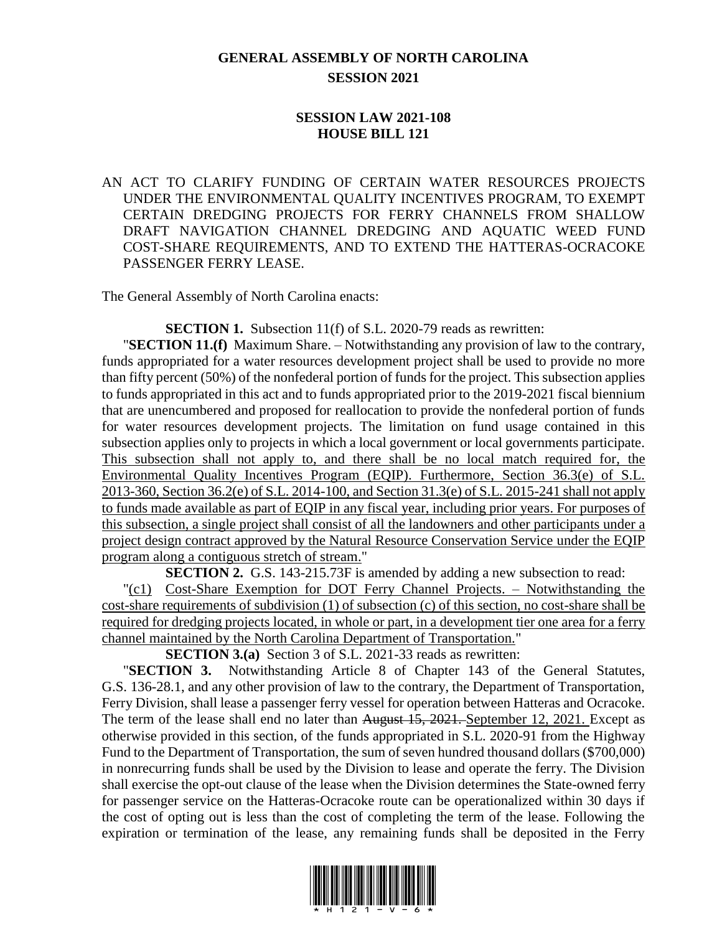## **GENERAL ASSEMBLY OF NORTH CAROLINA SESSION 2021**

## **SESSION LAW 2021-108 HOUSE BILL 121**

AN ACT TO CLARIFY FUNDING OF CERTAIN WATER RESOURCES PROJECTS UNDER THE ENVIRONMENTAL QUALITY INCENTIVES PROGRAM, TO EXEMPT CERTAIN DREDGING PROJECTS FOR FERRY CHANNELS FROM SHALLOW DRAFT NAVIGATION CHANNEL DREDGING AND AQUATIC WEED FUND COST-SHARE REQUIREMENTS, AND TO EXTEND THE HATTERAS-OCRACOKE PASSENGER FERRY LEASE.

The General Assembly of North Carolina enacts:

**SECTION 1.** Subsection 11(f) of S.L. 2020-79 reads as rewritten:

"**SECTION 11.(f)** Maximum Share. – Notwithstanding any provision of law to the contrary, funds appropriated for a water resources development project shall be used to provide no more than fifty percent (50%) of the nonfederal portion of funds for the project. This subsection applies to funds appropriated in this act and to funds appropriated prior to the 2019-2021 fiscal biennium that are unencumbered and proposed for reallocation to provide the nonfederal portion of funds for water resources development projects. The limitation on fund usage contained in this subsection applies only to projects in which a local government or local governments participate. This subsection shall not apply to, and there shall be no local match required for, the Environmental Quality Incentives Program (EQIP). Furthermore, Section 36.3(e) of S.L. 2013-360, Section 36.2(e) of S.L. 2014-100, and Section 31.3(e) of S.L. 2015-241 shall not apply to funds made available as part of EQIP in any fiscal year, including prior years. For purposes of this subsection, a single project shall consist of all the landowners and other participants under a project design contract approved by the Natural Resource Conservation Service under the EQIP program along a contiguous stretch of stream."

**SECTION 2.** G.S. 143-215.73F is amended by adding a new subsection to read:

"(c1) Cost-Share Exemption for DOT Ferry Channel Projects. – Notwithstanding the cost-share requirements of subdivision (1) of subsection (c) of this section, no cost-share shall be required for dredging projects located, in whole or part, in a development tier one area for a ferry channel maintained by the North Carolina Department of Transportation."

**SECTION 3.(a)** Section 3 of S.L. 2021-33 reads as rewritten:

"**SECTION 3.** Notwithstanding Article 8 of Chapter 143 of the General Statutes, G.S. 136-28.1, and any other provision of law to the contrary, the Department of Transportation, Ferry Division, shall lease a passenger ferry vessel for operation between Hatteras and Ocracoke. The term of the lease shall end no later than August 15, 2021. September 12, 2021. Except as otherwise provided in this section, of the funds appropriated in S.L. 2020-91 from the Highway Fund to the Department of Transportation, the sum of seven hundred thousand dollars (\$700,000) in nonrecurring funds shall be used by the Division to lease and operate the ferry. The Division shall exercise the opt-out clause of the lease when the Division determines the State-owned ferry for passenger service on the Hatteras-Ocracoke route can be operationalized within 30 days if the cost of opting out is less than the cost of completing the term of the lease. Following the expiration or termination of the lease, any remaining funds shall be deposited in the Ferry